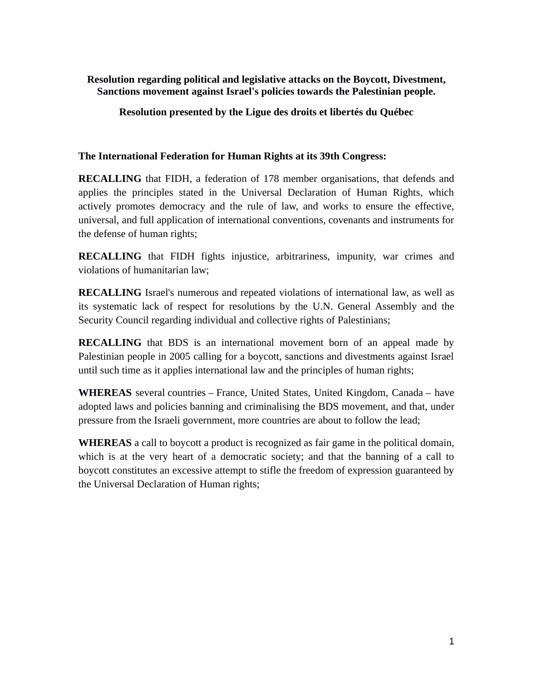**Resolution regarding political and legislative attacks on the Boycott, Divestment, Sanctions movement against Israel's policies towards the Palestinian people.**

**Resolution presented by the Ligue des droits et libertés du Québec**

**The International Federation for Human Rights at its 39th Congress:** 

**RECALLING** that FIDH, a federation of 178 member organisations, that defends and applies the principles stated in the Universal Declaration of Human Rights, which actively promotes democracy and the rule of law, and works to ensure the effective, universal, and full application of international conventions, covenants and instruments for the defense of human rights;

**RECALLING** that FIDH fights injustice, arbitrariness, impunity, war crimes and violations of humanitarian law;

**RECALLING** Israel's numerous and repeated violations of international law, as well as its systematic lack of respect for resolutions by the U.N. General Assembly and the Security Council regarding individual and collective rights of Palestinians;

**RECALLING** that BDS is an international movement born of an appeal made by Palestinian people in 2005 calling for a boycott, sanctions and divestments against Israel until such time as it applies international law and the principles of human rights;

**WHEREAS** several countries – France, United States, United Kingdom, Canada – have adopted laws and policies banning and criminalising the BDS movement, and that, under pressure from the Israeli government, more countries are about to follow the lead;

**WHEREAS** a call to boycott a product is recognized as fair game in the political domain, which is at the very heart of a democratic society; and that the banning of a call to boycott constitutes an excessive attempt to stifle the freedom of expression guaranteed by the Universal Declaration of Human rights;